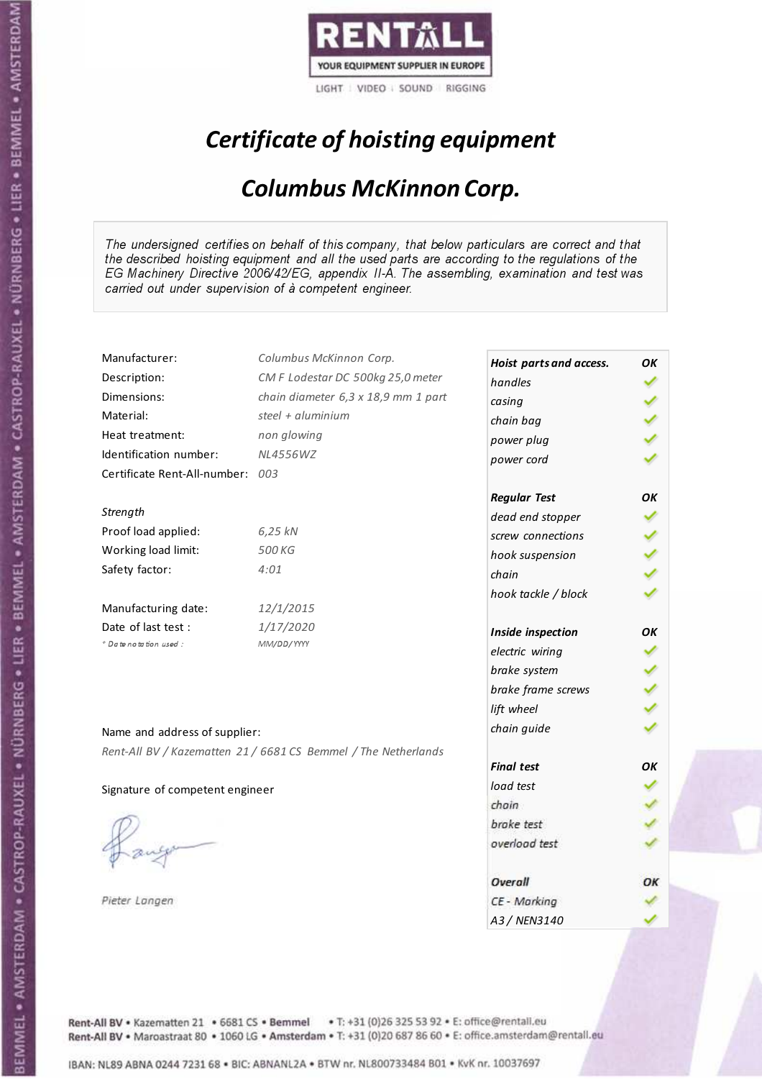

# Certificate of hoisting equipment

### Columbus McKinnon Corp.

The undersigned certifies on behalf of this company, that below particulars are correct and that the described hoisting equipment and all the used parts are according to the regulations of the EG Machinery Directive 2006/42/EG, appendix II-A. The assembling, examination and test was carried out under supervision of à competent engineer.

| Manufacturer:                    | Columbus McKinnon Corp.                                        | Hoist parts and access. | OK |
|----------------------------------|----------------------------------------------------------------|-------------------------|----|
| Description:                     | CM F Lodestar DC 500kg 25,0 meter                              | handles                 |    |
| Dimensions:                      | chain diameter 6,3 x 18,9 mm 1 part                            | casing                  |    |
| Material:                        | steel + aluminium                                              | chain bag               |    |
| Heat treatment:                  | non glowing                                                    | power plug              |    |
| Identification number:           | <b>NL4556WZ</b>                                                | power cord              |    |
| Certificate Rent-All-number: 003 |                                                                |                         |    |
|                                  |                                                                | <b>Regular Test</b>     | ΟK |
| Strength                         |                                                                | dead end stopper        |    |
| Proof load applied:              | 6,25 kN                                                        | screw connections       |    |
| Working load limit:              | 500 KG                                                         | hook suspension         |    |
| Safety factor:                   | 4:01                                                           | chain                   |    |
|                                  |                                                                | hook tackle / block     |    |
| Manufacturing date:              | 12/1/2015                                                      |                         |    |
| Date of last test :              | 1/17/2020                                                      | Inside inspection       | OK |
| + Date notation used:            | MM/DD/YYYY                                                     | electric wiring         |    |
|                                  |                                                                | brake system            |    |
|                                  |                                                                | brake frame screws      |    |
|                                  |                                                                | lift wheel              |    |
| Name and address of supplier:    |                                                                | chain guide             |    |
|                                  |                                                                |                         |    |
|                                  | Rent-All BV / Kazematten 21 / 6681 CS Bemmel / The Netherlands | <b>Final test</b>       | OK |
| Signature of competent engineer  |                                                                | load test               |    |
|                                  |                                                                | chain                   |    |
|                                  |                                                                | brake test              |    |
|                                  |                                                                | overload test           |    |
|                                  |                                                                |                         |    |
|                                  |                                                                | Overall                 | ОΚ |
| Pieter Langen                    |                                                                | CE - Marking            |    |
|                                  |                                                                | A3/NFN3140              |    |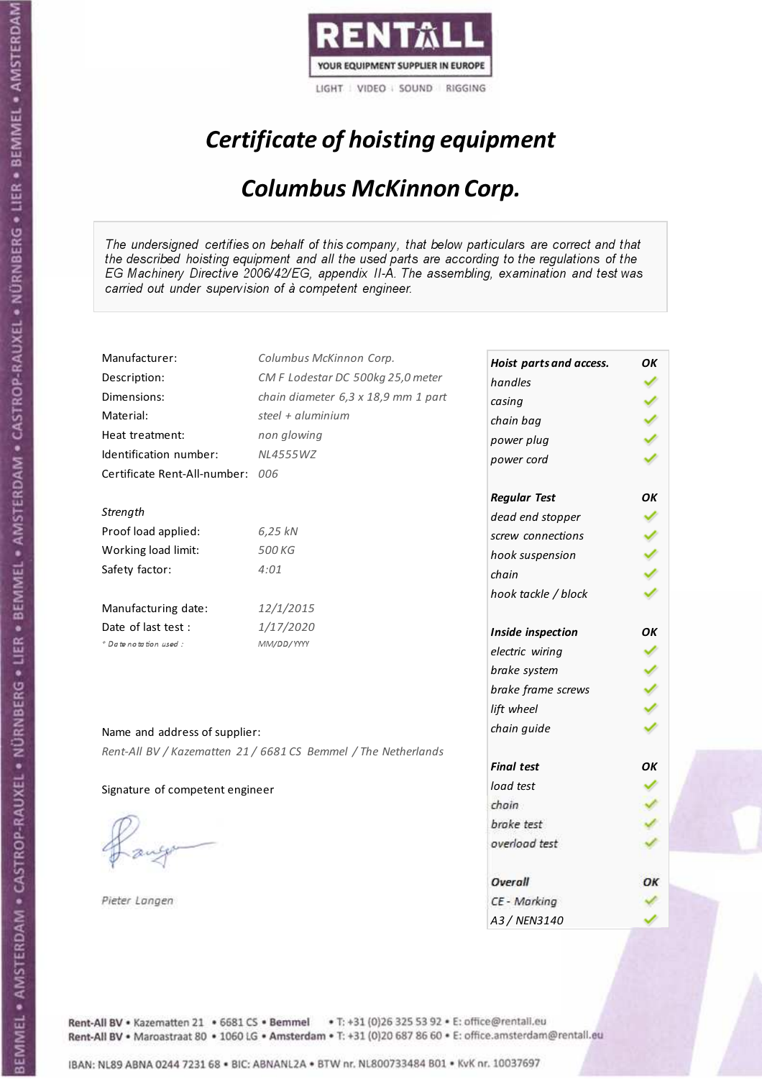

# Certificate of hoisting equipment

### Columbus McKinnon Corp.

The undersigned certifies on behalf of this company, that below particulars are correct and that the described hoisting equipment and all the used parts are according to the regulations of the EG Machinery Directive 2006/42/EG, appendix II-A. The assembling, examination and test was carried out under supervision of à competent engineer.

| Manufacturer:                    | Columbus McKinnon Corp.                                        | Hoist parts and access. | OK |
|----------------------------------|----------------------------------------------------------------|-------------------------|----|
| Description:                     | CM F Lodestar DC 500kg 25,0 meter                              | handles                 |    |
| Dimensions:                      | chain diameter 6,3 x 18,9 mm 1 part                            | casing                  |    |
| Material:                        | steel + aluminium                                              | chain bag               |    |
| Heat treatment:                  | non glowing                                                    | power plug              |    |
| Identification number:           | <b>NL4555WZ</b>                                                | power cord              |    |
| Certificate Rent-All-number: 006 |                                                                |                         |    |
|                                  |                                                                | <b>Regular Test</b>     | OK |
| Strength                         |                                                                | dead end stopper        |    |
| Proof load applied:              | 6,25 kN                                                        | screw connections       |    |
| Working load limit:              | 500 KG                                                         | hook suspension         |    |
| Safety factor:                   | 4:01                                                           | chain                   |    |
|                                  |                                                                | hook tackle / block     |    |
| Manufacturing date:              | 12/1/2015                                                      |                         |    |
| Date of last test:               | 1/17/2020                                                      | Inside inspection       | OK |
| + Date notation used:            | MM/DD/YYYY                                                     | electric wiring         |    |
|                                  |                                                                | brake system            |    |
|                                  |                                                                | brake frame screws      |    |
|                                  |                                                                | lift wheel              |    |
| Name and address of supplier:    |                                                                | chain guide             |    |
|                                  | Rent-All BV / Kazematten 21 / 6681 CS Bemmel / The Netherlands |                         |    |
|                                  |                                                                | <b>Final test</b>       | OΚ |
| Signature of competent engineer  |                                                                | load test               |    |
|                                  |                                                                | chain                   |    |
|                                  |                                                                | brake test              |    |
|                                  |                                                                | overload test           |    |
|                                  |                                                                |                         |    |
|                                  |                                                                | Overall                 | ОΚ |
| Pieter Langen                    |                                                                | CE - Marking            |    |
|                                  |                                                                | A3 / NEN3140            |    |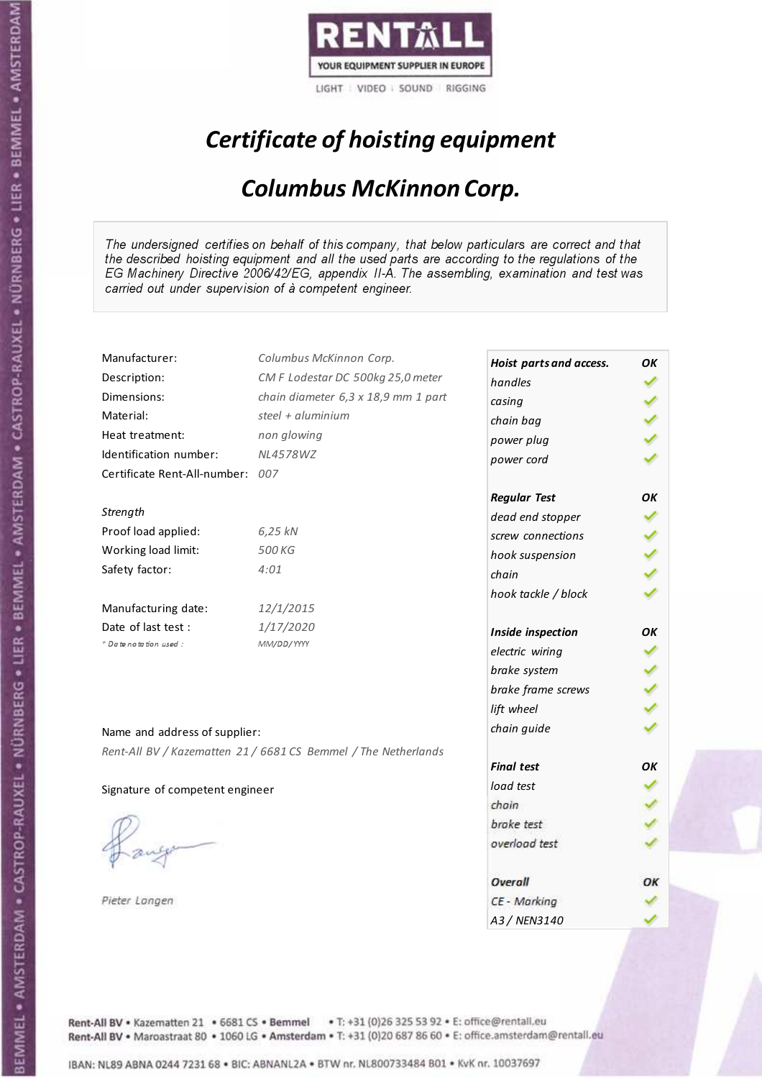

# Certificate of hoisting equipment

### Columbus McKinnon Corp.

The undersigned certifies on behalf of this company, that below particulars are correct and that the described hoisting equipment and all the used parts are according to the regulations of the EG Machinery Directive 2006/42/EG, appendix II-A. The assembling, examination and test was carried out under supervision of à competent engineer.

| Manufacturer:                    | Columbus McKinnon Corp.                                        | Hoist parts and access. | OK |
|----------------------------------|----------------------------------------------------------------|-------------------------|----|
| Description:                     | CM F Lodestar DC 500kg 25,0 meter                              | handles                 |    |
| Dimensions:                      | chain diameter 6,3 x 18,9 mm 1 part                            | casing                  |    |
| Material:                        | steel + aluminium                                              | chain bag               |    |
| Heat treatment:                  | non glowing                                                    | power plug              |    |
| Identification number:           | <b>NL4578WZ</b>                                                | power cord              |    |
| Certificate Rent-All-number: 007 |                                                                |                         |    |
|                                  |                                                                | <b>Regular Test</b>     | OK |
| Strength                         |                                                                | dead end stopper        |    |
| Proof load applied:              | 6,25 kN                                                        | screw connections       |    |
| Working load limit:              | 500 KG                                                         | hook suspension         |    |
| Safety factor:                   | 4:01                                                           | chain                   |    |
|                                  |                                                                | hook tackle / block     |    |
| Manufacturing date:              | 12/1/2015                                                      |                         |    |
| Date of last test :              | 1/17/2020                                                      | Inside inspection       | OΚ |
| + Date notation used:            | MM/DD/YYYY                                                     | electric wiring         |    |
|                                  |                                                                | brake system            |    |
|                                  |                                                                | brake frame screws      |    |
|                                  |                                                                | lift wheel              |    |
| Name and address of supplier:    |                                                                | chain guide             |    |
|                                  | Rent-All BV / Kazematten 21 / 6681 CS Bemmel / The Netherlands |                         |    |
|                                  |                                                                | <b>Final test</b>       | OK |
| Signature of competent engineer  |                                                                | load test               |    |
|                                  |                                                                | chain                   |    |
|                                  |                                                                | brake test              |    |
|                                  |                                                                | overload test           |    |
|                                  |                                                                |                         |    |
|                                  |                                                                | Overall                 | ОК |
| Pieter Langen                    |                                                                | CE - Marking            |    |
|                                  |                                                                | A3/NFN3140              |    |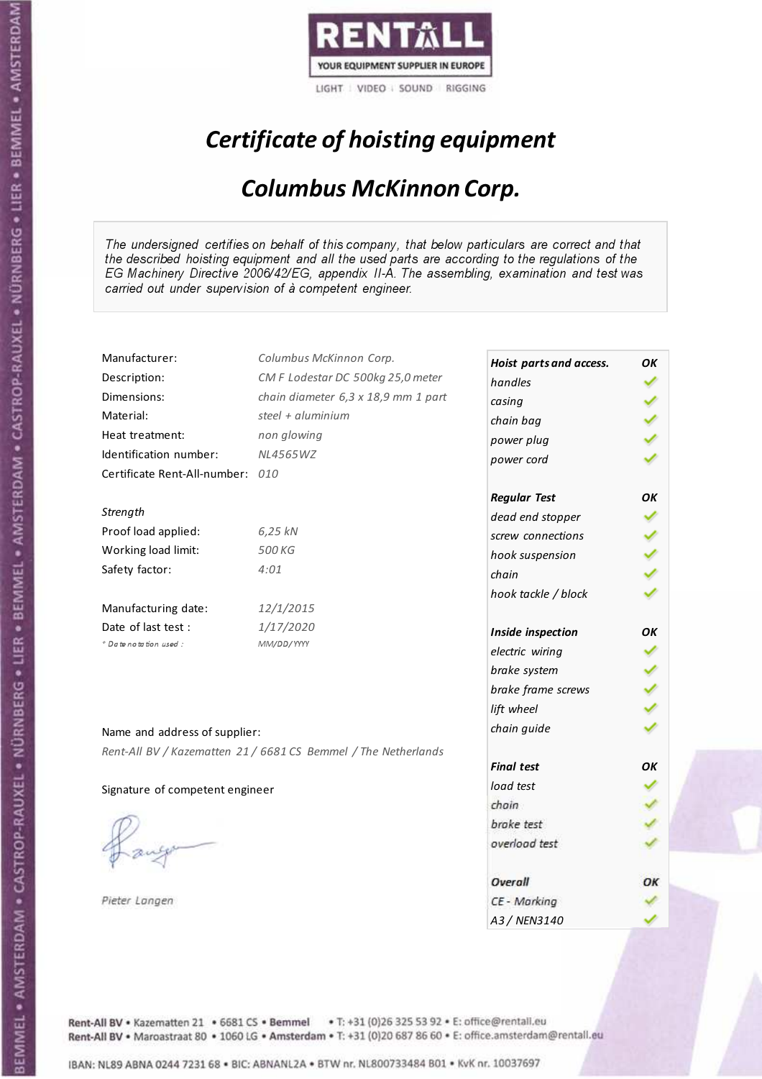

# Certificate of hoisting equipment

### Columbus McKinnon Corp.

The undersigned certifies on behalf of this company, that below particulars are correct and that the described hoisting equipment and all the used parts are according to the regulations of the EG Machinery Directive 2006/42/EG, appendix II-A. The assembling, examination and test was carried out under supervision of à competent engineer.

| Manufacturer:                    | Columbus McKinnon Corp.                                        | Hoist parts and access. | OK |
|----------------------------------|----------------------------------------------------------------|-------------------------|----|
| Description:                     | CM F Lodestar DC 500kg 25,0 meter                              | handles                 |    |
| Dimensions:                      | chain diameter 6,3 x 18,9 mm 1 part                            | casing                  |    |
| Material:                        | steel + aluminium                                              | chain bag               |    |
| Heat treatment:                  | non glowing                                                    | power plug              |    |
| Identification number:           | <b>NL4565WZ</b>                                                | power cord              |    |
| Certificate Rent-All-number: 010 |                                                                |                         |    |
|                                  |                                                                | <b>Regular Test</b>     | OK |
| Strength                         |                                                                | dead end stopper        |    |
| Proof load applied:              | 6,25 kN                                                        | screw connections       |    |
| Working load limit:              | 500 KG                                                         | hook suspension         |    |
| Safety factor:                   | 4:01                                                           | chain                   |    |
|                                  |                                                                | hook tackle / block     |    |
| Manufacturing date:              | 12/1/2015                                                      |                         |    |
| Date of last test:               | 1/17/2020                                                      | Inside inspection       | OΚ |
| * Date notation used :           | MM/DD/YYYY                                                     | electric wiring         |    |
|                                  |                                                                | brake system            |    |
|                                  |                                                                | brake frame screws      |    |
|                                  |                                                                | lift wheel              |    |
| Name and address of supplier:    |                                                                | chain guide             |    |
|                                  | Rent-All BV / Kazematten 21 / 6681 CS Bemmel / The Netherlands |                         |    |
|                                  |                                                                | <b>Final test</b>       | OK |
| Signature of competent engineer  |                                                                | load test               |    |
|                                  |                                                                | chain                   |    |
|                                  |                                                                | brake test              |    |
|                                  |                                                                | overload test           |    |
|                                  |                                                                |                         |    |
|                                  |                                                                | Overall                 | ОΚ |
| Pieter Langen                    |                                                                | CE - Marking            |    |
|                                  |                                                                | A3/NFN3140              |    |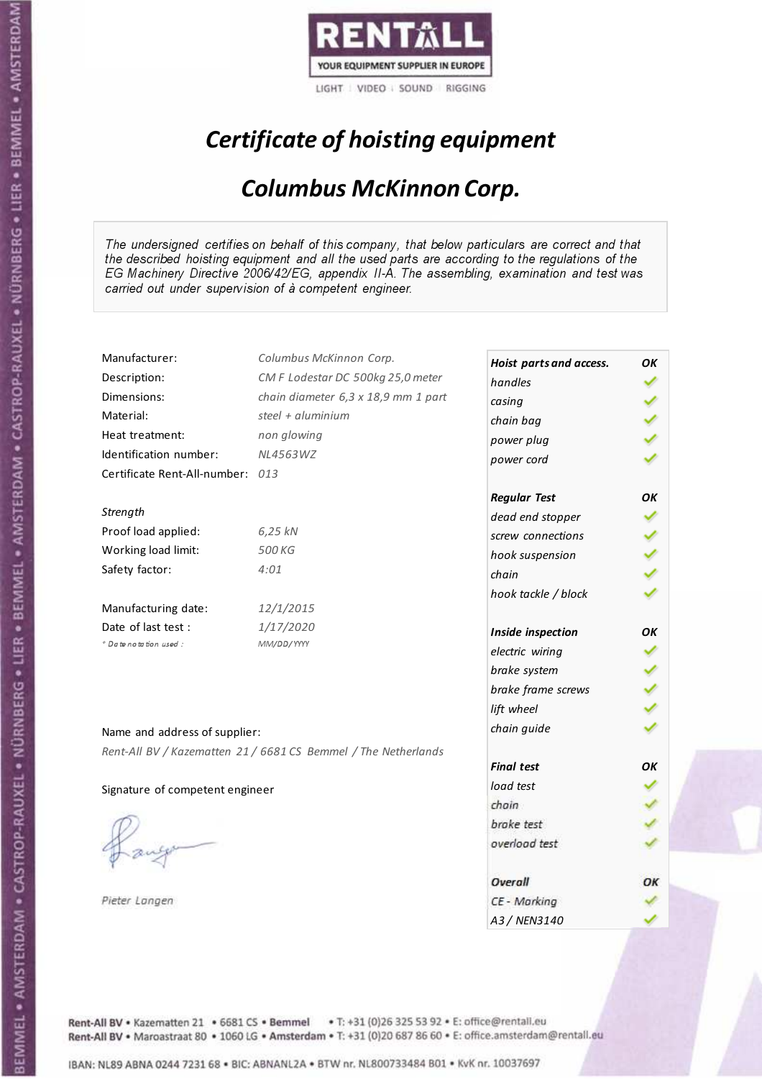

# Certificate of hoisting equipment

### Columbus McKinnon Corp.

The undersigned certifies on behalf of this company, that below particulars are correct and that the described hoisting equipment and all the used parts are according to the regulations of the EG Machinery Directive 2006/42/EG, appendix II-A. The assembling, examination and test was carried out under supervision of à competent engineer.

| Manufacturer:                    | Columbus McKinnon Corp.                                        | Hoist parts and access. | ΟK  |
|----------------------------------|----------------------------------------------------------------|-------------------------|-----|
| Description:                     | CM F Lodestar DC 500kg 25,0 meter                              | handles                 |     |
| Dimensions:                      | chain diameter 6,3 x 18,9 mm 1 part                            | casing                  |     |
| Material:                        | steel + aluminium                                              | chain bag               |     |
| Heat treatment:                  | non glowing                                                    | power plug              |     |
| Identification number:           | NL4563WZ                                                       | power cord              |     |
| Certificate Rent-All-number: 013 |                                                                |                         |     |
|                                  |                                                                | <b>Regular Test</b>     | ОΚ  |
| Strength                         |                                                                | dead end stopper        |     |
| Proof load applied:              | 6,25 kN                                                        | screw connections       |     |
| Working load limit:              | 500 KG                                                         | hook suspension         | くくく |
| Safety factor:                   | 4:01                                                           | chain                   |     |
|                                  |                                                                | hook tackle / block     |     |
| Manufacturing date:              | 12/1/2015                                                      |                         |     |
| Date of last test :              | 1/17/2020                                                      | Inside inspection       | ОΚ  |
| + Date notation used:            | MM/DD/YYYY                                                     | electric wiring         |     |
|                                  |                                                                | brake system            |     |
|                                  |                                                                | brake frame screws      |     |
|                                  |                                                                | lift wheel              |     |
| Name and address of supplier:    |                                                                | chain guide             |     |
|                                  | Rent-All BV / Kazematten 21 / 6681 CS Bemmel / The Netherlands |                         |     |
|                                  |                                                                | <b>Final test</b>       | OК  |
| Signature of competent engineer  |                                                                | load test               |     |
|                                  |                                                                | chain                   |     |
|                                  |                                                                | brake test              |     |
|                                  |                                                                | overload test           |     |
|                                  |                                                                | Overall                 | ОΚ  |
| Pieter Langen                    |                                                                | CE - Marking            |     |
|                                  |                                                                | A3 / NEN3140            |     |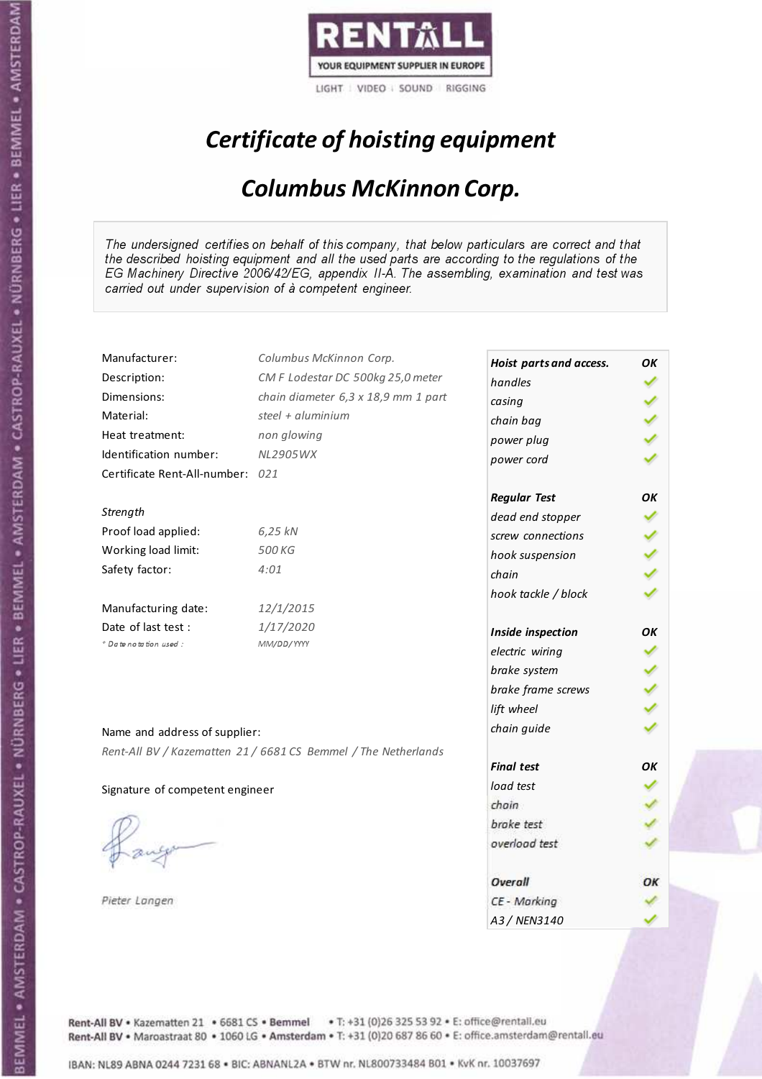

# Certificate of hoisting equipment

### Columbus McKinnon Corp.

The undersigned certifies on behalf of this company, that below particulars are correct and that the described hoisting equipment and all the used parts are according to the regulations of the EG Machinery Directive 2006/42/EG, appendix II-A. The assembling, examination and test was carried out under supervision of à competent engineer.

| Manufacturer:                    | Columbus McKinnon Corp.                                        | Hoist parts and access. | OK |
|----------------------------------|----------------------------------------------------------------|-------------------------|----|
| Description:                     | CM F Lodestar DC 500kg 25,0 meter                              | handles                 |    |
| Dimensions:                      | chain diameter 6,3 x 18,9 mm 1 part                            | casing                  |    |
| Material:                        | steel + aluminium                                              | chain bag               |    |
| Heat treatment:                  | non glowing                                                    | power plug              |    |
| Identification number:           | NL2905WX                                                       | power cord              |    |
| Certificate Rent-All-number: 021 |                                                                |                         |    |
|                                  |                                                                | <b>Regular Test</b>     | OK |
| Strength                         |                                                                | dead end stopper        |    |
| Proof load applied:              | 6,25 kN                                                        | screw connections       |    |
| Working load limit:              | 500 KG                                                         | hook suspension         |    |
| Safety factor:                   | 4:01                                                           | chain                   |    |
|                                  |                                                                | hook tackle / block     |    |
| Manufacturing date:              | 12/1/2015                                                      |                         |    |
| Date of last test :              | 1/17/2020                                                      | Inside inspection       | OK |
| + Date notation used:            | MM/DD/YYYY                                                     | electric wiring         |    |
|                                  |                                                                | brake system            |    |
|                                  |                                                                | brake frame screws      |    |
|                                  |                                                                | lift wheel              |    |
| Name and address of supplier:    |                                                                | chain guide             |    |
|                                  | Rent-All BV / Kazematten 21 / 6681 CS Bemmel / The Netherlands |                         |    |
|                                  |                                                                | <b>Final test</b>       | OK |
| Signature of competent engineer  |                                                                | load test               |    |
|                                  |                                                                | chain                   |    |
|                                  |                                                                | brake test              |    |
|                                  |                                                                | overload test           |    |
|                                  |                                                                |                         |    |
|                                  |                                                                | Overall                 | ОΚ |
| Pieter Langen                    |                                                                | CE - Marking            |    |
|                                  |                                                                | A3 / NEN3140            |    |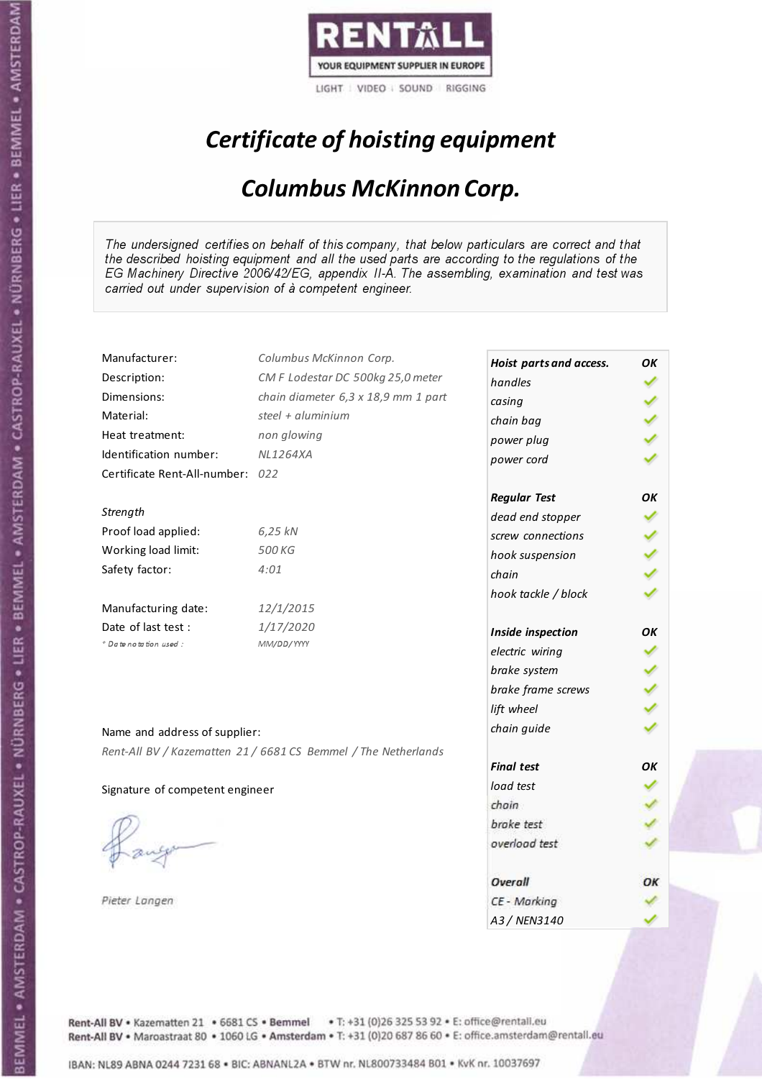

# Certificate of hoisting equipment

### Columbus McKinnon Corp.

The undersigned certifies on behalf of this company, that below particulars are correct and that the described hoisting equipment and all the used parts are according to the regulations of the EG Machinery Directive 2006/42/EG, appendix II-A. The assembling, examination and test was carried out under supervision of à competent engineer.

| Manufacturer:                    | Columbus McKinnon Corp.                                        | Hoist parts and access. | ΟK |
|----------------------------------|----------------------------------------------------------------|-------------------------|----|
| Description:                     | CM F Lodestar DC 500kg 25,0 meter                              | handles                 |    |
| Dimensions:                      | chain diameter 6,3 x 18,9 mm 1 part                            | casing                  |    |
| Material:                        | steel + aluminium                                              | chain bag               |    |
| Heat treatment:                  | non glowing                                                    | power plug              |    |
| Identification number:           | <b>NL1264XA</b>                                                | power cord              |    |
| Certificate Rent-All-number: 022 |                                                                |                         |    |
|                                  |                                                                | <b>Regular Test</b>     | ΟK |
| Strength                         |                                                                | dead end stopper        |    |
| Proof load applied:              | 6,25 kN                                                        | screw connections       |    |
| Working load limit:              | 500 KG                                                         | hook suspension         |    |
| Safety factor:                   | 4:01                                                           | chain                   |    |
|                                  |                                                                | hook tackle / block     |    |
| Manufacturing date:              | 12/1/2015                                                      |                         |    |
| Date of last test :              | 1/17/2020                                                      | Inside inspection       | OΚ |
| + Date notation used:            | MM/DD/YYYY                                                     | electric wiring         |    |
|                                  |                                                                | brake system            |    |
|                                  |                                                                | brake frame screws      |    |
|                                  |                                                                | lift wheel              |    |
| Name and address of supplier:    |                                                                | chain guide             |    |
|                                  | Rent-All BV / Kazematten 21 / 6681 CS Bemmel / The Netherlands |                         |    |
|                                  |                                                                | <b>Final test</b>       | OK |
| Signature of competent engineer  |                                                                | load test               |    |
|                                  |                                                                | chain                   |    |
|                                  |                                                                | brake test              |    |
|                                  |                                                                | overload test           |    |
|                                  |                                                                |                         |    |
|                                  |                                                                | Overall                 | ОΚ |
| Pieter Langen                    |                                                                | CE - Marking            |    |
|                                  |                                                                | A3 / NEN3140            |    |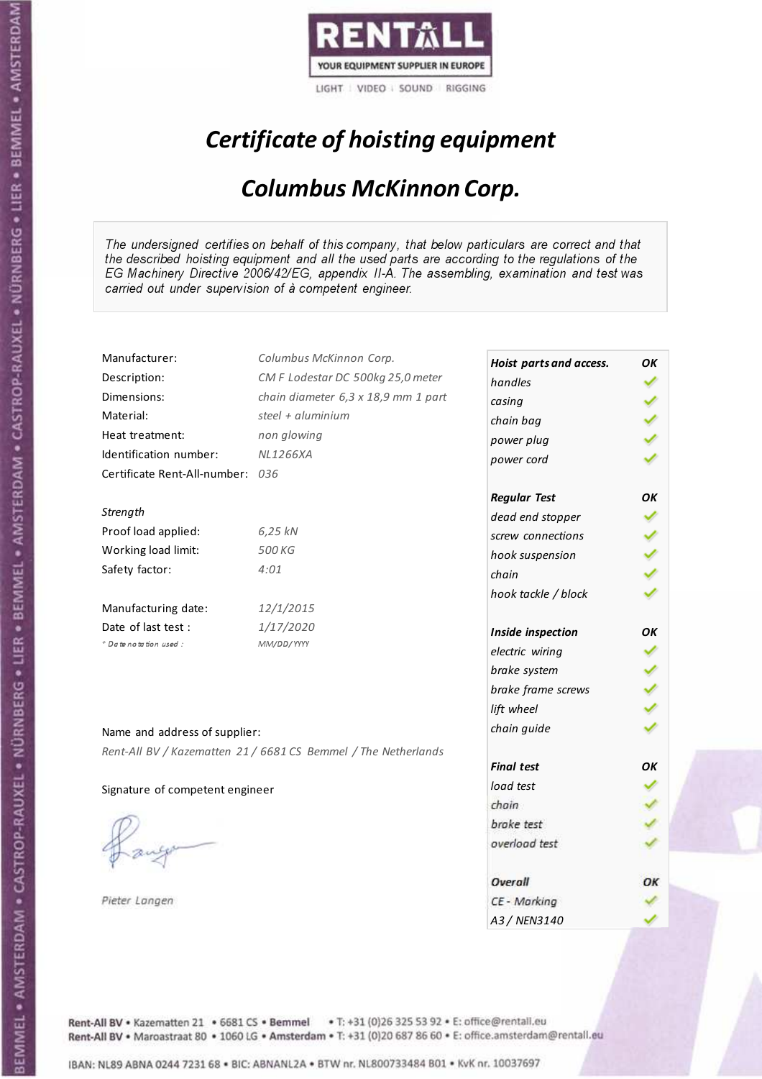

# Certificate of hoisting equipment

### Columbus McKinnon Corp.

The undersigned certifies on behalf of this company, that below particulars are correct and that the described hoisting equipment and all the used parts are according to the regulations of the EG Machinery Directive 2006/42/EG, appendix II-A. The assembling, examination and test was carried out under supervision of à competent engineer.

| Manufacturer:                    | Columbus McKinnon Corp.                                        | Hoist parts and access. | OK |
|----------------------------------|----------------------------------------------------------------|-------------------------|----|
| Description:                     | CM F Lodestar DC 500kg 25,0 meter                              | handles                 |    |
| Dimensions:                      | chain diameter 6,3 x 18,9 mm 1 part                            | casing                  |    |
| Material:                        | steel + aluminium                                              | chain bag               |    |
| Heat treatment:                  | non glowing                                                    | power plug              |    |
| Identification number:           | <b>NL1266XA</b>                                                | power cord              |    |
| Certificate Rent-All-number: 036 |                                                                |                         |    |
|                                  |                                                                | <b>Regular Test</b>     | OK |
| Strength                         |                                                                | dead end stopper        |    |
| Proof load applied:              | 6,25 kN                                                        | screw connections       |    |
| Working load limit:              | 500 KG                                                         | hook suspension         |    |
| Safety factor:                   | 4:01                                                           | chain                   |    |
|                                  |                                                                | hook tackle / block     |    |
| Manufacturing date:              | 12/1/2015                                                      |                         |    |
| Date of last test:               | 1/17/2020                                                      | Inside inspection       | OΚ |
| * Date notation used :           | MM/DD/YYYY                                                     | electric wiring         |    |
|                                  |                                                                | brake system            |    |
|                                  |                                                                | brake frame screws      |    |
|                                  |                                                                | lift wheel              |    |
| Name and address of supplier:    |                                                                | chain guide             |    |
|                                  | Rent-All BV / Kazematten 21 / 6681 CS Bemmel / The Netherlands |                         |    |
|                                  |                                                                | <b>Final test</b>       | OK |
| Signature of competent engineer  |                                                                | load test               |    |
|                                  |                                                                | chain                   |    |
|                                  |                                                                | brake test              |    |
|                                  |                                                                | overload test           |    |
|                                  |                                                                |                         |    |
|                                  |                                                                | Overall                 | ОΚ |
| Pieter Langen                    |                                                                | CE - Marking            |    |
|                                  |                                                                | A3/NFN3140              |    |

Rent-All BV . Kazematten 21 . 6681 CS . Bemmel . T: +31 (0)26 325 53 92 . E: office@rentall.eu Rent-All BV · Maroastraat 80 · 1060 LG · Amsterdam · T: +31 (0)20 687 86 60 · E: office.amsterdam@rentall.eu

IBAN: NL89 ABNA 0244 7231 68 . BIC: ABNANL2A . BTW nr. NL800733484 B01 . KvK nr. 10037697